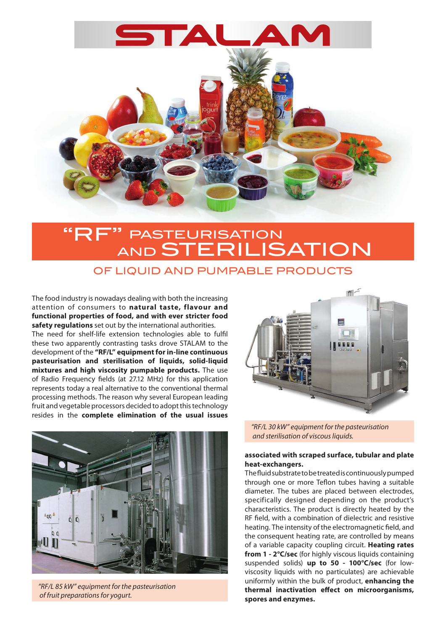

# **PASTEURISATION** AND **STERILISATION**

### OF LIQUID AND PUMPABLE PRODUCTS

The food industry is nowadays dealing with both the increasing attention of consumers to **natural taste, flavour and functional properties of food, and with ever stricter food safety regulations** set out by the international authorities.

The need for shelf-life extension technologies able to fulfil these two apparently contrasting tasks drove STALAM to the development of the **"RF/L" equipment for in-line continuous pasteurisation and sterilisation of liquids, solid-liquid mixtures and high viscosity pumpable products.** The use of Radio Frequency fields (at 27.12 MHz) for this application represents today a real alternative to the conventional thermal processing methods. The reason why several European leading fruit and vegetable processors decided to adopt this technology resides in the **complete elimination of the usual issues** 



*"RF/L 85 kW" equipment for the pasteurisation of fruit preparations for yogurt.*



*"RF/L 30 kW" equipment for the pasteurisation and sterilisation of viscous liquids.*

#### **associated with scraped surface, tubular and plate heat-exchangers.**

The fluid substrate to be treated is continuously pumped through one or more Teflon tubes having a suitable diameter. The tubes are placed between electrodes, specifically designed depending on the product's characteristics. The product is directly heated by the RF field, with a combination of dielectric and resistive heating. The intensity of the electromagnetic field, and the consequent heating rate, are controlled by means of a variable capacity coupling circuit. **Heating rates from 1 - 2°C/sec** (for highly viscous liquids containing suspended solids) **up to 50 - 100°C/sec** (for lowviscosity liquids with no particulates) are achievable uniformly within the bulk of product, **enhancing the thermal inactivation effect on microorganisms, spores and enzymes.**